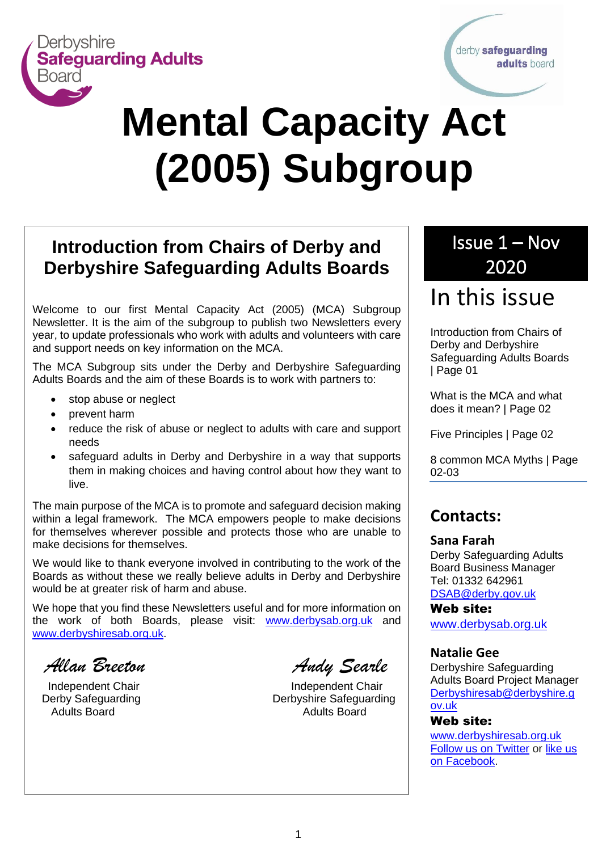

derby safeguarding adults board

# **Mental Capacity Act (2005) Subgroup**

<u>Newsletter</u><br>Newsletter

# **Introduction from Chairs of Derby and Derbyshire Safeguarding Adults Boards**

Welcome to our first Mental Capacity Act (2005) (MCA) Subgroup Newsletter. It is the aim of the subgroup to publish two Newsletters every year, to update professionals who work with adults and volunteers with care and support needs on key information on the MCA.

The MCA Subgroup sits under the Derby and Derbyshire Safeguarding Adults Boards and the aim of these Boards is to work with partners to:

- stop abuse or neglect
- prevent harm
- reduce the risk of abuse or neglect to adults with care and support needs
- safeguard adults in Derby and Derbyshire in a way that supports them in making choices and having control about how they want to live.

The main purpose of the MCA is to promote and safeguard decision making within a legal framework. The MCA empowers people to make decisions for themselves wherever possible and protects those who are unable to make decisions for themselves.

We would like to thank everyone involved in contributing to the work of the Boards as without these we really believe adults in Derby and Derbyshire would be at greater risk of harm and abuse.

We hope that you find these Newsletters useful and for more information on the work of both Boards, please visit: [www.derbysab.org.uk](http://www.derbysab.org.uk/) and [www.derbyshiresab.org.uk.](http://www.derbyshiresab.org.uk/)

 *Allan Breeton Andy Searle*

Independent Chair **Independent Chair** Derby Safeguarding **Derbyshire Safeguarding** Adults Board **Adults** Board **Adults** Board

# Issue 1 – Nov 2020

# In this issue

Introduction from Chairs of Derby and Derbyshire Safeguarding Adults Boards | Page 01

What is the MCA and what does it mean? | Page 02

Five Principles | Page 02

8 common MCA Myths | Page 02-03

### **Contacts:**

#### **Sana Farah**

Derby Safeguarding Adults Board Business Manager Tel: 01332 642961 [DSAB@derby.gov.uk](mailto:DSAB@derby.gov.uk)

Web site: [www.derbysab.org.uk](http://www.derbysab.org.uk/)

#### **Natalie Gee**

Derbyshire Safeguarding Adults Board Project Manager [Derbyshiresab@derbyshire.g](mailto:Derbyshiresab@derbyshire.gov.uk) [ov.uk](mailto:Derbyshiresab@derbyshire.gov.uk)

#### Web site:

[www.derbyshiresab.org.uk](http://www.derbyshiresab.org.uk/) [Follow us on Twitter](https://twitter.com/derbyshiresab) or [like us](https://www.facebook.com/DerbyshireSAB)  [on Facebook.](https://www.facebook.com/DerbyshireSAB)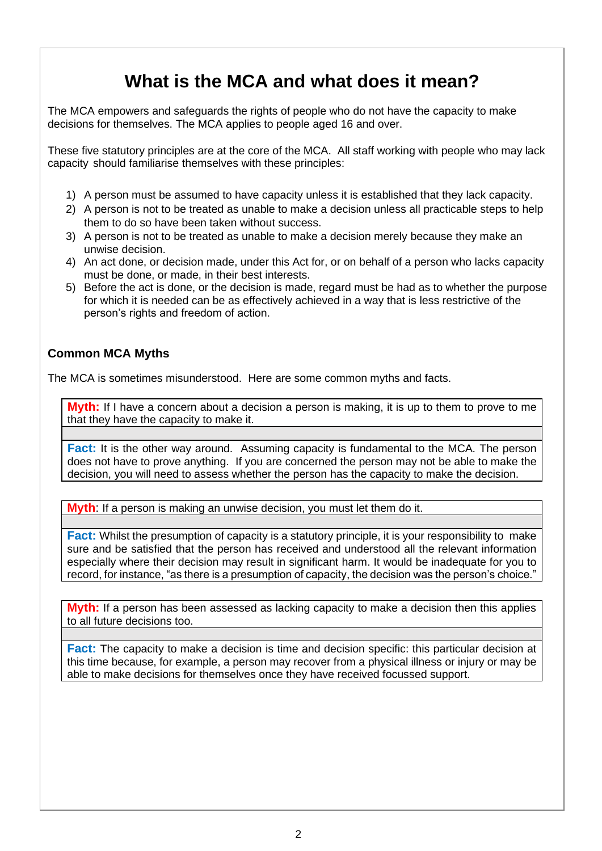# **What is the MCA and what does it mean?**

The MCA empowers and safeguards the rights of people who do not have the capacity to make decisions for themselves. The MCA applies to people aged 16 and over.

These five statutory principles are at the core of the MCA. All staff working with people who may lack capacity should familiarise themselves with these principles:

- 1) A person must be assumed to have capacity unless it is established that they lack capacity.
- 2) A person is not to be treated as unable to make a decision unless all practicable steps to help them to do so have been taken without success.
- 3) A person is not to be treated as unable to make a decision merely because they make an unwise decision.
- 4) An act done, or decision made, under this Act for, or on behalf of a person who lacks capacity must be done, or made, in their best interests.
- 5) Before the act is done, or the decision is made, regard must be had as to whether the purpose for which it is needed can be as effectively achieved in a way that is less restrictive of the person's rights and freedom of action.

#### **Common MCA Myths**

The MCA is sometimes misunderstood. Here are some common myths and facts.

**Myth:** If I have a concern about a decision a person is making, it is up to them to prove to me that they have the capacity to make it.

**Fact:** It is the other way around. Assuming capacity is fundamental to the MCA. The person does not have to prove anything. If you are concerned the person may not be able to make the decision, you will need to assess whether the person has the capacity to make the decision.

**Myth**: If a person is making an unwise decision, you must let them do it.

**Fact:** Whilst the presumption of capacity is a statutory principle, it is your responsibility to make sure and be satisfied that the person has received and understood all the relevant information especially where their decision may result in significant harm. It would be inadequate for you to record, for instance, "as there is a presumption of capacity, the decision was the person's choice."

**Myth:** If a person has been assessed as lacking capacity to make a decision then this applies to all future decisions too.

**Fact:** The capacity to make a decision is time and decision specific: this particular decision at this time because, for example, a person may recover from a physical illness or injury or may be able to make decisions for themselves once they have received focussed support.